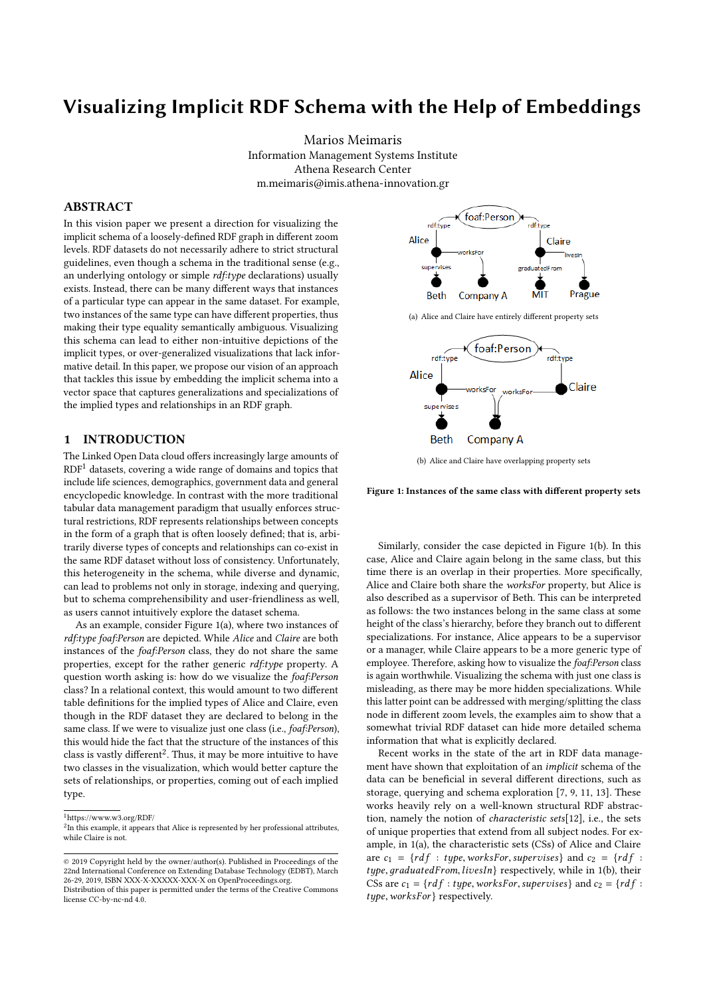# Visualizing Implicit RDF Schema with the Help of Embeddings

Marios Meimaris Information Management Systems Institute Athena Research Center m.meimaris@imis.athena-innovation.gr

### ABSTRACT

In this vision paper we present a direction for visualizing the implicit schema of a loosely-defined RDF graph in different zoom levels. RDF datasets do not necessarily adhere to strict structural guidelines, even though a schema in the traditional sense (e.g., an underlying ontology or simple rdf:type declarations) usually exists. Instead, there can be many different ways that instances of a particular type can appear in the same dataset. For example, two instances of the same type can have different properties, thus making their type equality semantically ambiguous. Visualizing this schema can lead to either non-intuitive depictions of the implicit types, or over-generalized visualizations that lack informative detail. In this paper, we propose our vision of an approach that tackles this issue by embedding the implicit schema into a vector space that captures generalizations and specializations of the implied types and relationships in an RDF graph.

# 1 INTRODUCTION

The Linked Open Data cloud offers increasingly large amounts of  $RDF<sup>1</sup>$  $RDF<sup>1</sup>$  $RDF<sup>1</sup>$  datasets, covering a wide range of domains and topics that include life sciences, demographics, government data and general encyclopedic knowledge. In contrast with the more traditional tabular data management paradigm that usually enforces structural restrictions, RDF represents relationships between concepts in the form of a graph that is often loosely defined; that is, arbitrarily diverse types of concepts and relationships can co-exist in the same RDF dataset without loss of consistency. Unfortunately, this heterogeneity in the schema, while diverse and dynamic, can lead to problems not only in storage, indexing and querying, but to schema comprehensibility and user-friendliness as well, as users cannot intuitively explore the dataset schema.

As an example, consider Figure [1\(a\),](#page-0-1) where two instances of rdf:type foaf:Person are depicted. While Alice and Claire are both instances of the foaf:Person class, they do not share the same properties, except for the rather generic rdf:type property. A question worth asking is: how do we visualize the foaf:Person class? In a relational context, this would amount to two different table definitions for the implied types of Alice and Claire, even though in the RDF dataset they are declared to belong in the same class. If we were to visualize just one class (i.e., foaf:Person), this would hide the fact that the structure of the instances of this class is vastly different<sup>[2](#page-0-2)</sup>. Thus, it may be more intuitive to have two classes in the visualization, which would better capture the sets of relationships, or properties, coming out of each implied type.

<span id="page-0-0"></span><sup>1</sup>https://www.w3.org/RDF/

<span id="page-0-1"></span>

<span id="page-0-3"></span>(b) Alice and Claire have overlapping property sets

Figure 1: Instances of the same class with different property sets

Similarly, consider the case depicted in Figure [1\(b\).](#page-0-3) In this case, Alice and Claire again belong in the same class, but this time there is an overlap in their properties. More specifically, Alice and Claire both share the worksFor property, but Alice is also described as a supervisor of Beth. This can be interpreted as follows: the two instances belong in the same class at some height of the class's hierarchy, before they branch out to different specializations. For instance, Alice appears to be a supervisor or a manager, while Claire appears to be a more generic type of employee. Therefore, asking how to visualize the foaf:Person class is again worthwhile. Visualizing the schema with just one class is misleading, as there may be more hidden specializations. While this latter point can be addressed with merging/splitting the class node in different zoom levels, the examples aim to show that a somewhat trivial RDF dataset can hide more detailed schema information that what is explicitly declared.

Recent works in the state of the art in RDF data management have shown that exploitation of an implicit schema of the data can be beneficial in several different directions, such as storage, querying and schema exploration [\[7,](#page-3-0) [9,](#page-3-1) [11,](#page-3-2) [13\]](#page-3-3). These works heavily rely on a well-known structural RDF abstraction, namely the notion of characteristic sets[\[12\]](#page-3-4), i.e., the sets of unique properties that extend from all subject nodes. For example, in [1\(a\),](#page-0-1) the characteristic sets (CSs) of Alice and Claire are  $c_1 = \{ r df : type, works For, supervises \}$  and  $c_2 = \{ r df :$ type, graduatedFrom, livesIn} respectively, while in [1\(b\),](#page-0-3) their CSs are  $c_1 = \{ r df : type, worksFor, supervises \}$  and  $c_2 = \{ r df :$ type, worksFor } respectively.

<span id="page-0-2"></span><sup>&</sup>lt;sup>2</sup>In this example, it appears that Alice is represented by her professional attributes, while Claire is not.

<sup>©</sup> 2019 Copyright held by the owner/author(s). Published in Proceedings of the 22nd International Conference on Extending Database Technology (EDBT), March 26-29, 2019, ISBN XXX-X-XXXXX-XXX-X on OpenProceedings.org.

Distribution of this paper is permitted under the terms of the Creative Commons license CC-by-nc-nd 4.0.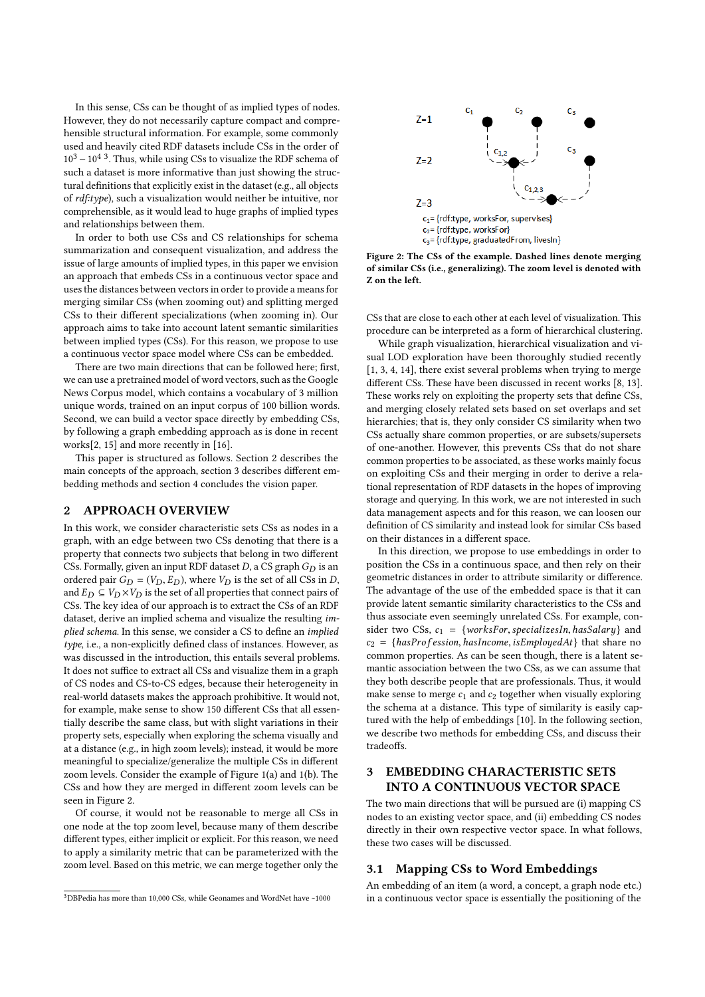In this sense, CSs can be thought of as implied types of nodes. However, they do not necessarily capture compact and comprehensible structural information. For example, some commonly used and heavily cited RDF datasets include CSs in the order of  $10^3 - 10^4$  $10^3 - 10^4$  $10^3 - 10^4$ <sup>3</sup>. Thus, while using CSs to visualize the RDF schema of such a dataset is more informative than just showing the structural definitions that explicitly exist in the dataset (e.g., all objects of rdf:type), such a visualization would neither be intuitive, nor comprehensible, as it would lead to huge graphs of implied types and relationships between them.

In order to both use CSs and CS relationships for schema summarization and consequent visualization, and address the issue of large amounts of implied types, in this paper we envision an approach that embeds CSs in a continuous vector space and uses the distances between vectors in order to provide a means for merging similar CSs (when zooming out) and splitting merged CSs to their different specializations (when zooming in). Our approach aims to take into account latent semantic similarities between implied types (CSs). For this reason, we propose to use a continuous vector space model where CSs can be embedded.

There are two main directions that can be followed here; first, we can use a pretrained model of word vectors, such as the Google News Corpus model, which contains a vocabulary of 3 million unique words, trained on an input corpus of 100 billion words. Second, we can build a vector space directly by embedding CSs, by following a graph embedding approach as is done in recent works[\[2,](#page-3-5) [15\]](#page-3-6) and more recently in [\[16\]](#page-3-7).

This paper is structured as follows. Section 2 describes the main concepts of the approach, section 3 describes different embedding methods and section 4 concludes the vision paper.

## 2 APPROACH OVERVIEW

In this work, we consider characteristic sets CSs as nodes in a graph, with an edge between two CSs denoting that there is a property that connects two subjects that belong in two different CSs. Formally, given an input RDF dataset D, a CS graph  $G_D$  is an ordered pair  $G_D = (V_D, E_D)$ , where  $V_D$  is the set of all CSs in D, and  $E_D \subseteq V_D \times V_D$  is the set of all properties that connect pairs of CSs. The key idea of our approach is to extract the CSs of an RDF dataset, derive an implied schema and visualize the resulting implied schema. In this sense, we consider a CS to define an implied type, i.e., a non-explicitly defined class of instances. However, as was discussed in the introduction, this entails several problems. It does not suffice to extract all CSs and visualize them in a graph of CS nodes and CS-to-CS edges, because their heterogeneity in real-world datasets makes the approach prohibitive. It would not, for example, make sense to show 150 different CSs that all essentially describe the same class, but with slight variations in their property sets, especially when exploring the schema visually and at a distance (e.g., in high zoom levels); instead, it would be more meaningful to specialize/generalize the multiple CSs in different zoom levels. Consider the example of Figure [1\(a\)](#page-0-1) and [1\(b\).](#page-0-3) The CSs and how they are merged in different zoom levels can be seen in Figure [2.](#page-1-1)

Of course, it would not be reasonable to merge all CSs in one node at the top zoom level, because many of them describe different types, either implicit or explicit. For this reason, we need to apply a similarity metric that can be parameterized with the zoom level. Based on this metric, we can merge together only the

<span id="page-1-1"></span>

Figure 2: The CSs of the example. Dashed lines denote merging of similar CSs (i.e., generalizing). The zoom level is denoted with Z on the left.

CSs that are close to each other at each level of visualization. This procedure can be interpreted as a form of hierarchical clustering.

While graph visualization, hierarchical visualization and visual LOD exploration have been thoroughly studied recently [\[1,](#page-3-8) [3,](#page-3-9) [4,](#page-3-10) [14\]](#page-3-11), there exist several problems when trying to merge different CSs. These have been discussed in recent works [\[8,](#page-3-12) [13\]](#page-3-3). These works rely on exploiting the property sets that define CSs, and merging closely related sets based on set overlaps and set hierarchies; that is, they only consider CS similarity when two CSs actually share common properties, or are subsets/supersets of one-another. However, this prevents CSs that do not share common properties to be associated, as these works mainly focus on exploiting CSs and their merging in order to derive a relational representation of RDF datasets in the hopes of improving storage and querying. In this work, we are not interested in such data management aspects and for this reason, we can loosen our definition of CS similarity and instead look for similar CSs based on their distances in a different space.

In this direction, we propose to use embeddings in order to position the CSs in a continuous space, and then rely on their geometric distances in order to attribute similarity or difference. The advantage of the use of the embedded space is that it can provide latent semantic similarity characteristics to the CSs and thus associate even seemingly unrelated CSs. For example, consider two CSs,  $c_1 = \{worksFor, specialistzesIn, hasSalary\}$  and  $c_2 = \{hasProfession, has Income, isEmployeeAt\}$  that share no common properties. As can be seen though, there is a latent semantic association between the two CSs, as we can assume that they both describe people that are professionals. Thus, it would make sense to merge  $c_1$  and  $c_2$  together when visually exploring the schema at a distance. This type of similarity is easily captured with the help of embeddings [\[10\]](#page-3-13). In the following section, we describe two methods for embedding CSs, and discuss their tradeoffs.

# 3 EMBEDDING CHARACTERISTIC SETS INTO A CONTINUOUS VECTOR SPACE

The two main directions that will be pursued are (i) mapping CS nodes to an existing vector space, and (ii) embedding CS nodes directly in their own respective vector space. In what follows, these two cases will be discussed.

#### 3.1 Mapping CSs to Word Embeddings

An embedding of an item (a word, a concept, a graph node etc.) in a continuous vector space is essentially the positioning of the

<span id="page-1-0"></span><sup>&</sup>lt;sup>3</sup>DBPedia has more than 10,000 CSs, while Geonames and WordNet have ~1000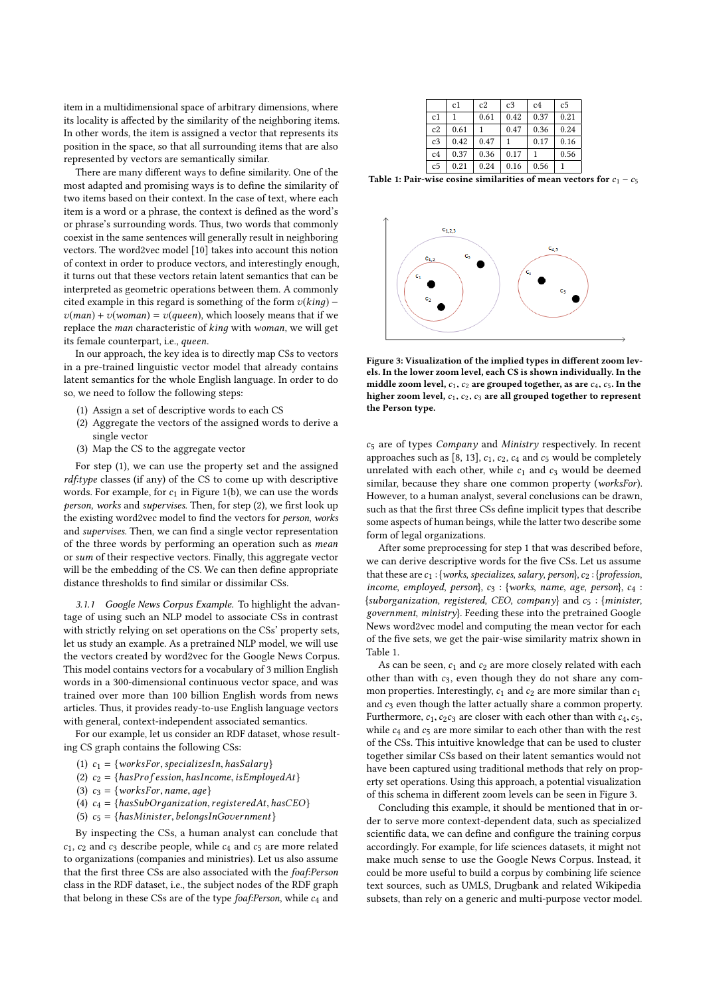item in a multidimensional space of arbitrary dimensions, where its locality is affected by the similarity of the neighboring items. In other words, the item is assigned a vector that represents its position in the space, so that all surrounding items that are also represented by vectors are semantically similar.

There are many different ways to define similarity. One of the most adapted and promising ways is to define the similarity of two items based on their context. In the case of text, where each item is a word or a phrase, the context is defined as the word's or phrase's surrounding words. Thus, two words that commonly coexist in the same sentences will generally result in neighboring vectors. The word2vec model [\[10\]](#page-3-13) takes into account this notion of context in order to produce vectors, and interestingly enough, it turns out that these vectors retain latent semantics that can be interpreted as geometric operations between them. A commonly cited example in this regard is something of the form  $v(king)$  –  $v(\text{man}) + v(\text{woman}) = v(\text{queen})$ , which loosely means that if we replace the man characteristic of kinд with woman, we will get its female counterpart, i.e., queen.

In our approach, the key idea is to directly map CSs to vectors in a pre-trained linguistic vector model that already contains latent semantics for the whole English language. In order to do so, we need to follow the following steps:

- (1) Assign a set of descriptive words to each CS
- (2) Aggregate the vectors of the assigned words to derive a single vector
- (3) Map the CS to the aggregate vector

For step (1), we can use the property set and the assigned rdf:type classes (if any) of the CS to come up with descriptive words. For example, for  $c_1$  in Figure [1\(b\),](#page-0-3) we can use the words person, works and supervises. Then, for step (2), we first look up the existing word2vec model to find the vectors for person, works and supervises. Then, we can find a single vector representation of the three words by performing an operation such as mean or sum of their respective vectors. Finally, this aggregate vector will be the embedding of the CS. We can then define appropriate distance thresholds to find similar or dissimilar CSs.

3.1.1 Google News Corpus Example. To highlight the advantage of using such an NLP model to associate CSs in contrast with strictly relying on set operations on the CSs' property sets, let us study an example. As a pretrained NLP model, we will use the vectors created by word2vec for the Google News Corpus. This model contains vectors for a vocabulary of 3 million English words in a 300-dimensional continuous vector space, and was trained over more than 100 billion English words from news articles. Thus, it provides ready-to-use English language vectors with general, context-independent associated semantics.

For our example, let us consider an RDF dataset, whose resulting CS graph contains the following CSs:

- (1)  $c_1 = \{worksFor, specialistzesIn, hasSalary\}$
- (2)  $c_2 = \{hasProfession, has Income, isEmployeeAt\}$
- (3)  $c_3 = \{worksFor, name, age\}$
- (4)  $c_4 = \{hasSubOrganization, registeredAt, hasCEO\}$
- (5)  $c_5 = \{hasMinister, belongsInGovernment\}$

By inspecting the CSs, a human analyst can conclude that  $c_1$ ,  $c_2$  and  $c_3$  describe people, while  $c_4$  and  $c_5$  are more related to organizations (companies and ministries). Let us also assume that the first three CSs are also associated with the foaf:Person class in the RDF dataset, i.e., the subject nodes of the RDF graph that belong in these CSs are of the type  $foaf$ : Person, while  $c_4$  and

<span id="page-2-0"></span>

|                | c1   | c2   | c <sub>3</sub> | c <sub>4</sub> | c <sub>5</sub> |
|----------------|------|------|----------------|----------------|----------------|
| c1             |      | 0.61 | 0.42           | 0.37           | 0.21           |
| c2             | 0.61 |      | 0.47           | 0.36           | 0.24           |
| c <sub>3</sub> | 0.42 | 0.47 |                | 0.17           | 0.16           |
| c <sub>4</sub> | 0.37 | 0.36 | 0.17           |                | 0.56           |
| c <sub>5</sub> | 0.21 | 0.24 | 0.16           | 0.56           |                |

Table 1: Pair-wise cosine similarities of mean vectors for  $c_1 - c_5$ 

<span id="page-2-1"></span>

Figure 3: Visualization of the implied types in different zoom levels. In the lower zoom level, each CS is shown individually. In the middle zoom level,  $c_1$ ,  $c_2$  are grouped together, as are  $c_4$ ,  $c_5$ . In the higher zoom level,  $c_1$ ,  $c_2$ ,  $c_3$  are all grouped together to represent the Person type.

<sup>c</sup><sup>5</sup> are of types Company and Ministry respectively. In recent approaches such as [\[8,](#page-3-12) [13\]](#page-3-3),  $c_1$ ,  $c_2$ ,  $c_4$  and  $c_5$  would be completely unrelated with each other, while  $c_1$  and  $c_3$  would be deemed similar, because they share one common property (worksFor). However, to a human analyst, several conclusions can be drawn, such as that the first three CSs define implicit types that describe some aspects of human beings, while the latter two describe some form of legal organizations.

After some preprocessing for step 1 that was described before, we can derive descriptive words for the five CSs. Let us assume that these are  $c_1$  : {works, specializes, salary, person},  $c_2$  : {profession, income, employed, person},  $c_3$  : {works, name, age, person},  $c_4$  :  ${suborganization, registered, CEO, company}$  and  $c_5:$  {minister, government, ministry}. Feeding these into the pretrained Google News word2vec model and computing the mean vector for each of the five sets, we get the pair-wise similarity matrix shown in Table [1.](#page-2-0)

As can be seen,  $c_1$  and  $c_2$  are more closely related with each other than with  $c_3$ , even though they do not share any common properties. Interestingly,  $c_1$  and  $c_2$  are more similar than  $c_1$ and  $c_3$  even though the latter actually share a common property. Furthermore,  $c_1, c_2c_3$  are closer with each other than with  $c_4, c_5$ , while  $c_4$  and  $c_5$  are more similar to each other than with the rest of the CSs. This intuitive knowledge that can be used to cluster together similar CSs based on their latent semantics would not have been captured using traditional methods that rely on property set operations. Using this approach, a potential visualization of this schema in different zoom levels can be seen in Figure [3.](#page-2-1)

Concluding this example, it should be mentioned that in order to serve more context-dependent data, such as specialized scientific data, we can define and configure the training corpus accordingly. For example, for life sciences datasets, it might not make much sense to use the Google News Corpus. Instead, it could be more useful to build a corpus by combining life science text sources, such as UMLS, Drugbank and related Wikipedia subsets, than rely on a generic and multi-purpose vector model.